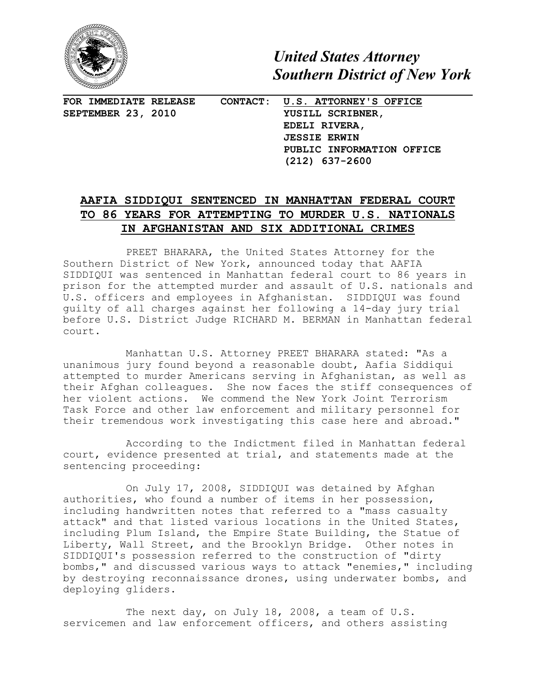

*United States Attorney Southern District of New York*

**FOR IMMEDIATE RELEASE CONTACT: U.S. ATTORNEY'S OFFICE SEPTEMBER 23, 2010 YUSILL SCRIBNER,**

**EDELI RIVERA, JESSIE ERWIN PUBLIC INFORMATION OFFICE (212) 637-2600**

## **AAFIA SIDDIQUI SENTENCED IN MANHATTAN FEDERAL COURT TO 86 YEARS FOR ATTEMPTING TO MURDER U.S. NATIONALS IN AFGHANISTAN AND SIX ADDITIONAL CRIMES**

PREET BHARARA, the United States Attorney for the Southern District of New York, announced today that AAFIA SIDDIQUI was sentenced in Manhattan federal court to 86 years in prison for the attempted murder and assault of U.S. nationals and U.S. officers and employees in Afghanistan. SIDDIQUI was found guilty of all charges against her following a 14-day jury trial before U.S. District Judge RICHARD M. BERMAN in Manhattan federal court.

Manhattan U.S. Attorney PREET BHARARA stated: "As a unanimous jury found beyond a reasonable doubt, Aafia Siddiqui attempted to murder Americans serving in Afghanistan, as well as their Afghan colleagues. She now faces the stiff consequences of her violent actions. We commend the New York Joint Terrorism Task Force and other law enforcement and military personnel for their tremendous work investigating this case here and abroad."

According to the Indictment filed in Manhattan federal court, evidence presented at trial, and statements made at the sentencing proceeding:

On July 17, 2008, SIDDIQUI was detained by Afghan authorities, who found a number of items in her possession, including handwritten notes that referred to a "mass casualty attack" and that listed various locations in the United States, including Plum Island, the Empire State Building, the Statue of Liberty, Wall Street, and the Brooklyn Bridge. Other notes in SIDDIQUI's possession referred to the construction of "dirty bombs," and discussed various ways to attack "enemies," including by destroying reconnaissance drones, using underwater bombs, and deploying gliders.

The next day, on July 18, 2008, a team of U.S. servicemen and law enforcement officers, and others assisting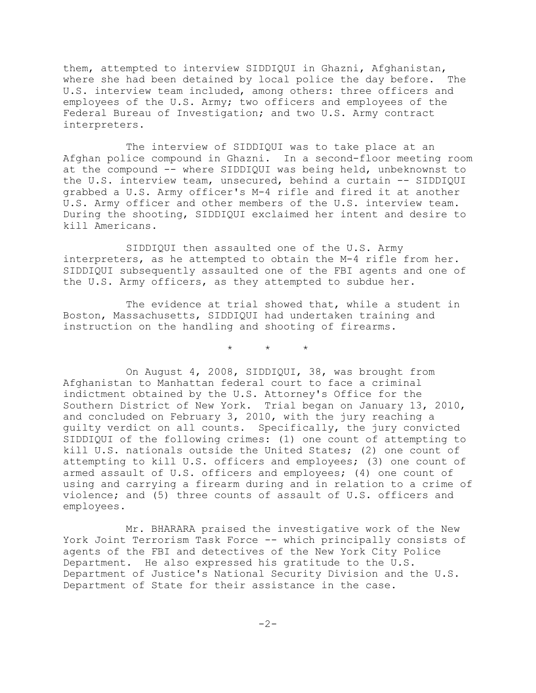them, attempted to interview SIDDIQUI in Ghazni, Afghanistan, where she had been detained by local police the day before. The U.S. interview team included, among others: three officers and employees of the U.S. Army; two officers and employees of the Federal Bureau of Investigation; and two U.S. Army contract interpreters.

The interview of SIDDIQUI was to take place at an Afghan police compound in Ghazni. In a second-floor meeting room at the compound -- where SIDDIQUI was being held, unbeknownst to the U.S. interview team, unsecured, behind a curtain -- SIDDIQUI grabbed a U.S. Army officer's M-4 rifle and fired it at another U.S. Army officer and other members of the U.S. interview team. During the shooting, SIDDIQUI exclaimed her intent and desire to kill Americans.

SIDDIQUI then assaulted one of the U.S. Army interpreters, as he attempted to obtain the M-4 rifle from her. SIDDIQUI subsequently assaulted one of the FBI agents and one of the U.S. Army officers, as they attempted to subdue her.

The evidence at trial showed that, while a student in Boston, Massachusetts, SIDDIQUI had undertaken training and instruction on the handling and shooting of firearms.

 $\star$   $\star$   $\star$ 

On August 4, 2008, SIDDIQUI, 38, was brought from Afghanistan to Manhattan federal court to face a criminal indictment obtained by the U.S. Attorney's Office for the Southern District of New York. Trial began on January 13, 2010, and concluded on February 3, 2010, with the jury reaching a guilty verdict on all counts. Specifically, the jury convicted SIDDIQUI of the following crimes: (1) one count of attempting to kill U.S. nationals outside the United States; (2) one count of attempting to kill U.S. officers and employees; (3) one count of armed assault of U.S. officers and employees; (4) one count of using and carrying a firearm during and in relation to a crime of violence; and (5) three counts of assault of U.S. officers and employees.

Mr. BHARARA praised the investigative work of the New York Joint Terrorism Task Force -- which principally consists of agents of the FBI and detectives of the New York City Police Department. He also expressed his gratitude to the U.S. Department of Justice's National Security Division and the U.S. Department of State for their assistance in the case.